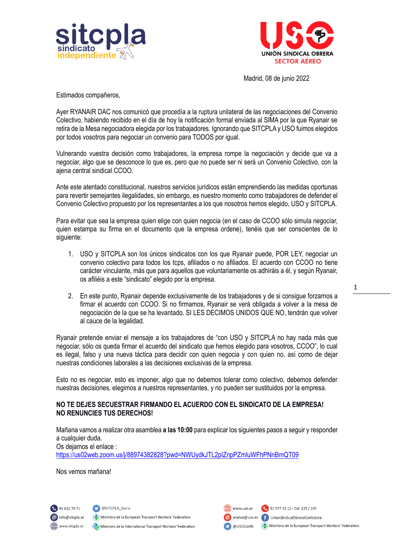



Madrid, 08 de junio 2022

Estimados compañeros,

Ayer RYANAIR DAC nos comunicó que procedía a la ruptura unilateral de las negociaciones del Convenio Colectivo, habiendo recibido en el día de hoy la notificación formal enviada al SIMA por la que Ryanair se retira de la Mesa negociadora elegida por los trabajadores. Ignorando que SITCPLA y USO fuimos elegidos por todos vosotros para negociar un convenio para TODOS por igual.

Vulnerando vuestra decisión como trabajadores, la empresa rompe la negociación y decide que va a negociar, algo que se desconoce lo que es, pero que no puede ser ni será un Convenio Colectivo, con la ajena central sindical CCOO.

Ante este atentado constitucional, nuestros servicios jurídicos están emprendiendo las medidas oportunas para revertir semejantes ilegalidades, sin embargo, es nuestro momento como trabajadores de defender el Convenio Colectivo propuesto por los representantes a los que nosotros hemos elegido, USO y SITCPLA.

Para evitar que sea la empresa quien elige con quien negocia (en el caso de CCOO sólo simula negociar, quien estampa su firma en el documento que la empresa ordene), tenéis que ser conscientes de lo siguiente:

- 1. USO y SITCPLA son los únicos sindicatos con los que Ryanair puede, POR LEY, negociar un convenio colectivo para todos los tcps, afiliados o no afiliados. El acuerdo con CCOO no tiene carácter vinculante, más que para aquellos que voluntariamente os adhiráis a él, y según Ryanair, os afiliéis a este "sindicato" elegido por la empresa.
- 2. En este punto, Ryanair depende exclusivamente de los trabajadores y de si consigue forzarnos a firmar el acuerdo con CCOO. Si no firmamos, Ryanair se verá obligada a volver a la mesa de negociación de la que se ha levantado. SI LES DECIMOS UNIDOS QUE NO, tendrán que volver al cauce de la legalidad.

Ryanair pretende enviar el mensaje a los trabajadores de "con USO y SITCPLA no hay nada más que negociar, sólo os queda firmar el acuerdo del sindicato que hemos elegido para vosotros, CCOO", lo cual es ilegal, falso y una nueva táctica para decidir con quien negocia y con quien no, así como de dejar nuestras condiciones laborales a las decisiones exclusivas de la empresa.

Esto no es negociar, esto es imponer, algo que no debemos tolerar como colectivo, debemos defender nuestras decisiones, elegimos a nuestros representantes, y no pueden ser sustituidos por la empresa.

## **NO TE DEJES SECUESTRAR FIRMANDO EL ACUERDO CON EL SINDICATO DE LA EMPRESA! NO RENUNCIES TUS DERECHOS!**

Mañana vamos a realizar otra asamblea **a las 10:00** para explicar los siguientes pasos a seguir y responder a cualquier duda. Os dejamos el enlace : <https://us02web.zoom.us/j/88974382828?pwd=NWUydkJTL2pIZnpPZmluWFhPNnBmQT09>

Nos vemos mañana!